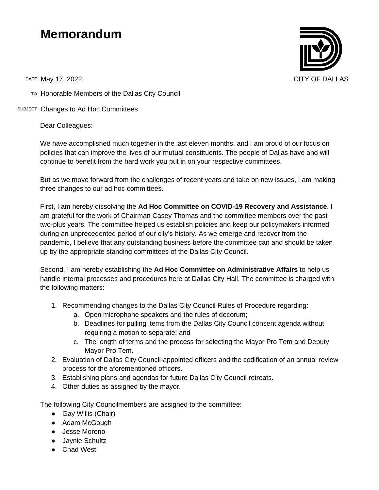## **Memorandum**



TO Honorable Members of the Dallas City Council

SUBJECT Changes to Ad Hoc Committees

Dear Colleagues:

We have accomplished much together in the last eleven months, and I am proud of our focus on policies that can improve the lives of our mutual constituents. The people of Dallas have and will continue to benefit from the hard work you put in on your respective committees.

But as we move forward from the challenges of recent years and take on new issues, I am making three changes to our ad hoc committees.

First, I am hereby dissolving the **Ad Hoc Committee on COVID-19 Recovery and Assistance**. I am grateful for the work of Chairman Casey Thomas and the committee members over the past two-plus years. The committee helped us establish policies and keep our policymakers informed during an unprecedented period of our city's history. As we emerge and recover from the pandemic, I believe that any outstanding business before the committee can and should be taken up by the appropriate standing committees of the Dallas City Council.

Second, I am hereby establishing the **Ad Hoc Committee on Administrative Affairs** to help us handle internal processes and procedures here at Dallas City Hall. The committee is charged with the following matters:

- 1. Recommending changes to the Dallas City Council Rules of Procedure regarding:
	- a. Open microphone speakers and the rules of decorum;
	- b. Deadlines for pulling items from the Dallas City Council consent agenda without requiring a motion to separate; and
	- c. The length of terms and the process for selecting the Mayor Pro Tem and Deputy Mayor Pro Tem.
- 2. Evaluation of Dallas City Council-appointed officers and the codification of an annual review process for the aforementioned officers.
- 3. Establishing plans and agendas for future Dallas City Council retreats.
- 4. Other duties as assigned by the mayor.

The following City Councilmembers are assigned to the committee:

- Gay Willis (Chair)
- Adam McGough
- Jesse Moreno
- Jaynie Schultz
- Chad West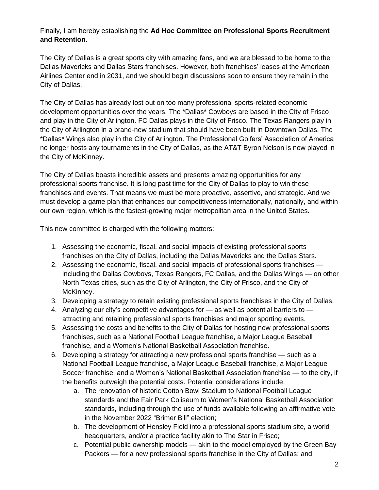Finally, I am hereby establishing the **Ad Hoc Committee on Professional Sports Recruitment and Retention**.

The City of Dallas is a great sports city with amazing fans, and we are blessed to be home to the Dallas Mavericks and Dallas Stars franchises. However, both franchises' leases at the American Airlines Center end in 2031, and we should begin discussions soon to ensure they remain in the City of Dallas.

The City of Dallas has already lost out on too many professional sports-related economic development opportunities over the years. The \*Dallas\* Cowboys are based in the City of Frisco and play in the City of Arlington. FC Dallas plays in the City of Frisco. The Texas Rangers play in the City of Arlington in a brand-new stadium that should have been built in Downtown Dallas. The \*Dallas\* Wings also play in the City of Arlington. The Professional Golfers' Association of America no longer hosts any tournaments in the City of Dallas, as the AT&T Byron Nelson is now played in the City of McKinney.

The City of Dallas boasts incredible assets and presents amazing opportunities for any professional sports franchise. It is long past time for the City of Dallas to play to win these franchises and events. That means we must be more proactive, assertive, and strategic. And we must develop a game plan that enhances our competitiveness internationally, nationally, and within our own region, which is the fastest-growing major metropolitan area in the United States.

This new committee is charged with the following matters:

- 1. Assessing the economic, fiscal, and social impacts of existing professional sports franchises on the City of Dallas, including the Dallas Mavericks and the Dallas Stars.
- 2. Assessing the economic, fiscal, and social impacts of professional sports franchises including the Dallas Cowboys, Texas Rangers, FC Dallas, and the Dallas Wings — on other North Texas cities, such as the City of Arlington, the City of Frisco, and the City of McKinney.
- 3. Developing a strategy to retain existing professional sports franchises in the City of Dallas.
- 4. Analyzing our city's competitive advantages for as well as potential barriers to attracting and retaining professional sports franchises and major sporting events.
- 5. Assessing the costs and benefits to the City of Dallas for hosting new professional sports franchises, such as a National Football League franchise, a Major League Baseball franchise, and a Women's National Basketball Association franchise.
- 6. Developing a strategy for attracting a new professional sports franchise such as a National Football League franchise, a Major League Baseball franchise, a Major League Soccer franchise, and a Women's National Basketball Association franchise — to the city, if the benefits outweigh the potential costs. Potential considerations include:
	- a. The renovation of historic Cotton Bowl Stadium to National Football League standards and the Fair Park Coliseum to Women's National Basketball Association standards, including through the use of funds available following an affirmative vote in the November 2022 "Brimer Bill" election;
	- b. The development of Hensley Field into a professional sports stadium site, a world headquarters, and/or a practice facility akin to The Star in Frisco;
	- c. Potential public ownership models akin to the model employed by the Green Bay Packers — for a new professional sports franchise in the City of Dallas; and